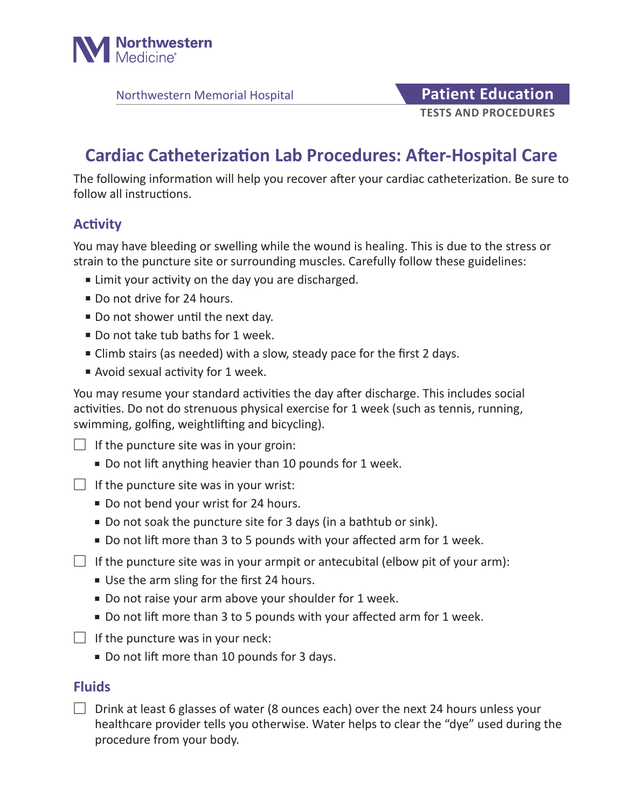

## **TESTS AND PROCEDURES** Northwestern Memorial Hospital **Patient Education**

# **Cardiac Catheterization Lab Procedures: After-Hospital Care**

The following information will help you recover after your cardiac catheterization. Be sure to follow all instructions.

### **Activity**

You may have bleeding or swelling while the wound is healing. This is due to the stress or strain to the puncture site or surrounding muscles. Carefully follow these guidelines:

- Limit your activity on the day you are discharged.
- Do not drive for 24 hours.
- Do not shower until the next day.
- Do not take tub baths for 1 week.
- Climb stairs (as needed) with a slow, steady pace for the first 2 days.
- Avoid sexual activity for 1 week.

You may resume your standard activities the day after discharge. This includes social activities. Do not do strenuous physical exercise for 1 week (such as tennis, running, swimming, golfing, weightlifting and bicycling).

 $\Box$  If the puncture site was in your groin:

- Do not lift anything heavier than 10 pounds for 1 week.
- $\Box$  If the puncture site was in your wrist:
	- Do not bend your wrist for 24 hours.
	- Do not soak the puncture site for 3 days (in a bathtub or sink).
	- Do not lift more than 3 to 5 pounds with your affected arm for 1 week.
- $\Box$  If the puncture site was in your armpit or antecubital (elbow pit of your arm):
	- Use the arm sling for the first 24 hours.
	- Do not raise your arm above your shoulder for 1 week.
	- Do not lift more than 3 to 5 pounds with your affected arm for 1 week.
- $\Box$  If the puncture was in your neck:
	- Do not lift more than 10 pounds for 3 days.

#### **Fluids**

 $\Box$  Drink at least 6 glasses of water (8 ounces each) over the next 24 hours unless your healthcare provider tells you otherwise. Water helps to clear the "dye" used during the procedure from your body.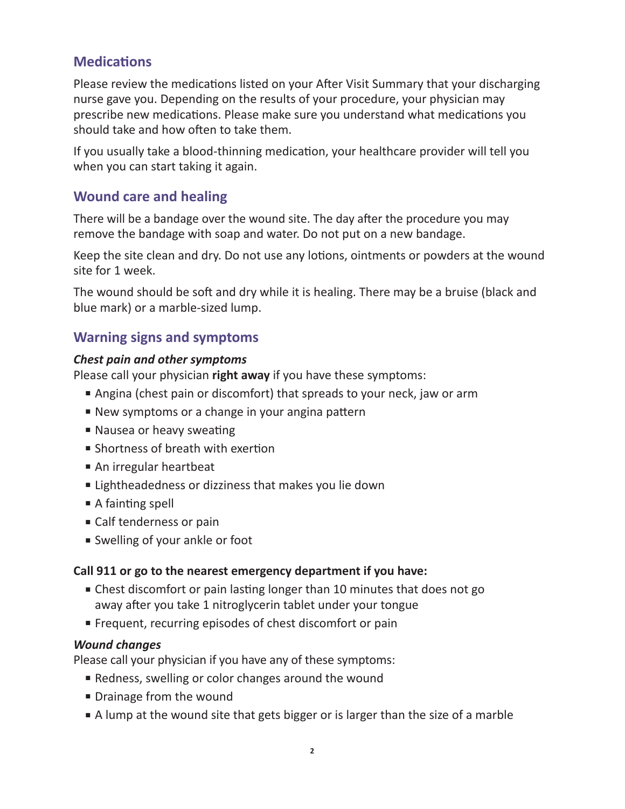### **Medications**

Please review the medications listed on your After Visit Summary that your discharging nurse gave you. Depending on the results of your procedure, your physician may prescribe new medications. Please make sure you understand what medications you should take and how often to take them.

If you usually take a blood-thinning medication, your healthcare provider will tell you when you can start taking it again.

### **Wound care and healing**

There will be a bandage over the wound site. The day after the procedure you may remove the bandage with soap and water. Do not put on a new bandage.

Keep the site clean and dry. Do not use any lotions, ointments or powders at the wound site for 1 week.

The wound should be soft and dry while it is healing. There may be a bruise (black and blue mark) or a marble-sized lump.

### **Warning signs and symptoms**

#### *Chest pain and other symptoms*

Please call your physician **right away** if you have these symptoms:

- Angina (chest pain or discomfort) that spreads to your neck, jaw or arm
- New symptoms or a change in your angina pattern
- Nausea or heavy sweating
- Shortness of breath with exertion
- An irregular heartbeat
- Lightheadedness or dizziness that makes you lie down
- A fainting spell
- Calf tenderness or pain
- Swelling of your ankle or foot

#### **Call 911 or go to the nearest emergency department if you have:**

- Chest discomfort or pain lasting longer than 10 minutes that does not go away after you take 1 nitroglycerin tablet under your tongue
- Frequent, recurring episodes of chest discomfort or pain

#### *Wound changes*

Please call your physician if you have any of these symptoms:

- Redness, swelling or color changes around the wound
- Drainage from the wound
- A lump at the wound site that gets bigger or is larger than the size of a marble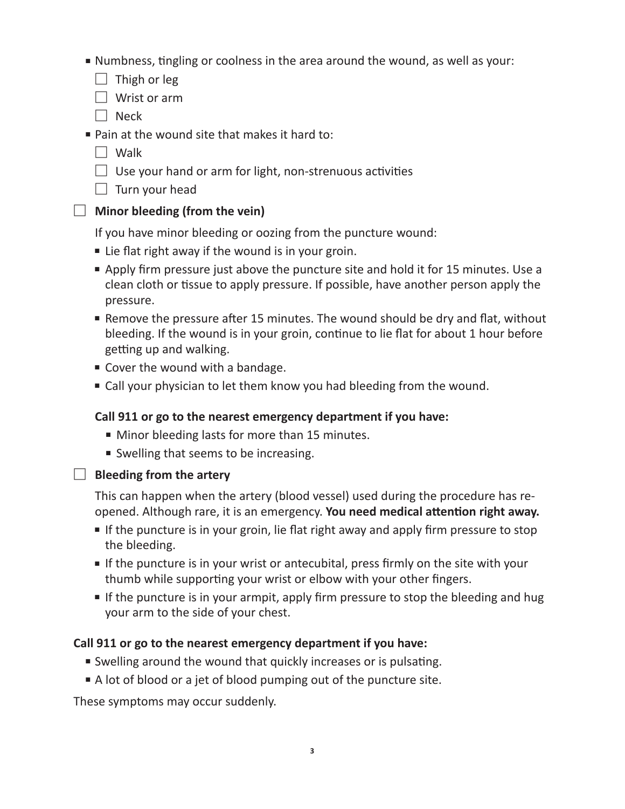- Numbness, tingling or coolness in the area around the wound, as well as your:
	- $\Box$  Thigh or leg
	- $\Box$  Wrist or arm
	- $\Box$  Neck
- Pain at the wound site that makes it hard to:
	- $\Box$  Walk
	- $\Box$  Use your hand or arm for light, non-strenuous activities
	- $\Box$  Turn your head

### **Minor bleeding (from the vein)**

If you have minor bleeding or oozing from the puncture wound:

- Lie flat right away if the wound is in your groin.
- Apply firm pressure just above the puncture site and hold it for 15 minutes. Use a clean cloth or tissue to apply pressure. If possible, have another person apply the pressure.
- Remove the pressure after 15 minutes. The wound should be dry and flat, without bleeding. If the wound is in your groin, continue to lie flat for about 1 hour before getting up and walking.
- Cover the wound with a bandage.
- Call your physician to let them know you had bleeding from the wound.

### **Call 911 or go to the nearest emergency department if you have:**

- Minor bleeding lasts for more than 15 minutes.
- Swelling that seems to be increasing.
- 

### $\Box$  Bleeding from the artery

This can happen when the artery (blood vessel) used during the procedure has reopened. Although rare, it is an emergency. **You need medical attention right away.**

- If the puncture is in your groin, lie flat right away and apply firm pressure to stop the bleeding.
- If the puncture is in your wrist or antecubital, press firmly on the site with your thumb while supporting your wrist or elbow with your other fingers.
- If the puncture is in your armpit, apply firm pressure to stop the bleeding and hug your arm to the side of your chest.

### **Call 911 or go to the nearest emergency department if you have:**

- Swelling around the wound that quickly increases or is pulsating.
- A lot of blood or a jet of blood pumping out of the puncture site.

These symptoms may occur suddenly.